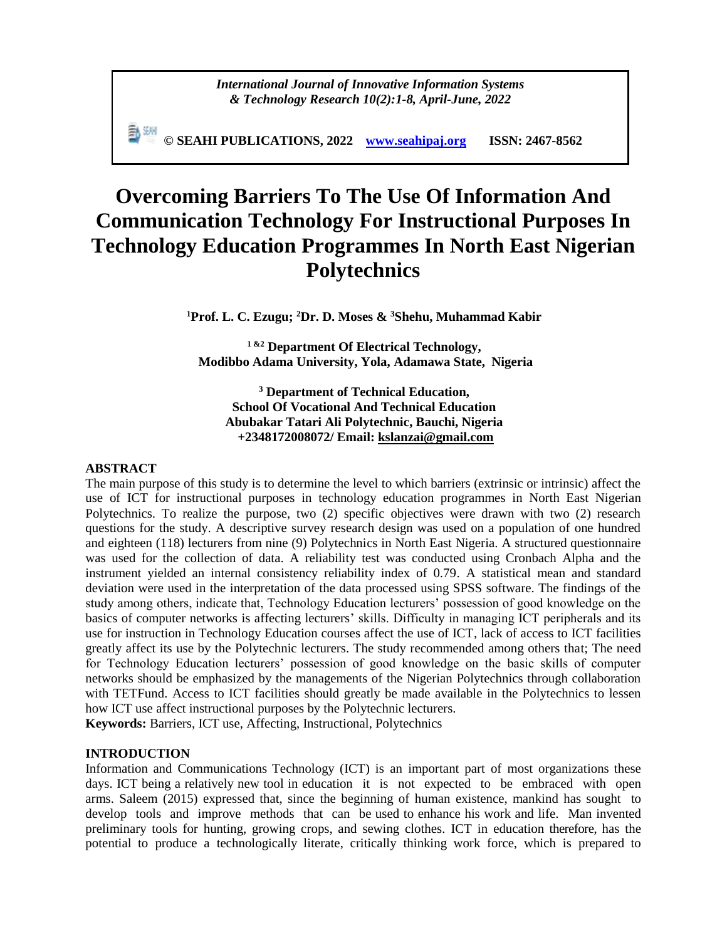*International Journal of Innovative Information Systems & Technology Research 10(2):1-8, April-June, 2022*

**© SEAHI PUBLICATIONS, 2022 [www.seahipaj.org](http://www.seahipaj.org/) ISSN: 2467-8562**

# **Overcoming Barriers To The Use Of Information And Communication Technology For Instructional Purposes In Technology Education Programmes In North East Nigerian Polytechnics**

**<sup>1</sup>Prof. L. C. Ezugu; <sup>2</sup>Dr. D. Moses & <sup>3</sup>Shehu, Muhammad Kabir**

**1 &2 Department Of Electrical Technology, Modibbo Adama University, Yola, Adamawa State, Nigeria** 

**<sup>3</sup> Department of Technical Education, School Of Vocational And Technical Education Abubakar Tatari Ali Polytechnic, Bauchi, Nigeria +2348172008072/ Email: [kslanzai@gmail.com](mailto:kslanzai@gmail.com)**

#### **ABSTRACT**

The main purpose of this study is to determine the level to which barriers (extrinsic or intrinsic) affect the use of ICT for instructional purposes in technology education programmes in North East Nigerian Polytechnics. To realize the purpose, two (2) specific objectives were drawn with two (2) research questions for the study. A descriptive survey research design was used on a population of one hundred and eighteen (118) lecturers from nine (9) Polytechnics in North East Nigeria. A structured questionnaire was used for the collection of data. A reliability test was conducted using Cronbach Alpha and the instrument yielded an internal consistency reliability index of 0.79. A statistical mean and standard deviation were used in the interpretation of the data processed using SPSS software. The findings of the study among others, indicate that, Technology Education lecturers' possession of good knowledge on the basics of computer networks is affecting lecturers' skills. Difficulty in managing ICT peripherals and its use for instruction in Technology Education courses affect the use of ICT, lack of access to ICT facilities greatly affect its use by the Polytechnic lecturers. The study recommended among others that; The need for Technology Education lecturers' possession of good knowledge on the basic skills of computer networks should be emphasized by the managements of the Nigerian Polytechnics through collaboration with TETFund. Access to ICT facilities should greatly be made available in the Polytechnics to lessen how ICT use affect instructional purposes by the Polytechnic lecturers.

**Keywords:** Barriers, ICT use, Affecting, Instructional, Polytechnics

## **INTRODUCTION**

Information and Communications Technology (ICT) is an important part of most organizations these days. ICT being a relatively new tool in education it is not expected to be embraced with open arms. Saleem (2015) expressed that, since the beginning of human existence, mankind has sought to develop tools and improve methods that can be used to enhance his work and life. Man invented preliminary tools for hunting, growing crops, and sewing clothes. ICT in education therefore, has the potential to produce a technologically literate, critically thinking work force, which is prepared to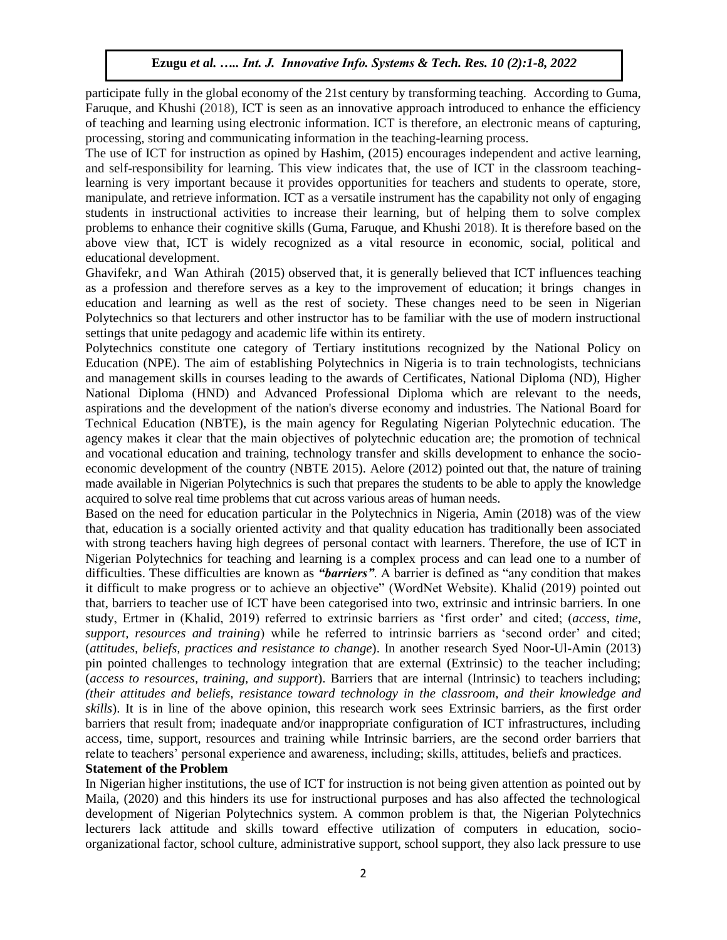participate fully in the global economy of the 21st century by transforming teaching. According to Guma, Faruque, and Khushi (2018), ICT is seen as an innovative approach introduced to enhance the efficiency of teaching and learning using electronic information. ICT is therefore, an electronic means of capturing, processing, storing and communicating information in the teaching-learning process.

The use of ICT for instruction as opined by Hashim, (2015) encourages independent and active learning, and self-responsibility for learning. This view indicates that, the use of ICT in the classroom teachinglearning is very important because it provides opportunities for teachers and students to operate, store, manipulate, and retrieve information. ICT as a versatile instrument has the capability not only of engaging students in instructional activities to increase their learning, but of helping them to solve complex problems to enhance their cognitive skills (Guma, Faruque, and Khushi 2018). It is therefore based on the above view that, ICT is widely recognized as a vital resource in economic, social, political and educational development.

Ghavifekr, and Wan Athirah (2015) observed that, it is generally believed that ICT influences teaching as a profession and therefore serves as a key to the improvement of education; it brings changes in education and learning as well as the rest of society. These changes need to be seen in Nigerian Polytechnics so that lecturers and other instructor has to be familiar with the use of modern instructional settings that unite pedagogy and academic life within its entirety.

Polytechnics constitute one category of Tertiary institutions recognized by the National Policy on Education (NPE). The aim of establishing Polytechnics in Nigeria is to train technologists, technicians and management skills in courses leading to the awards of Certificates, National Diploma (ND), Higher National Diploma (HND) and Advanced Professional Diploma which are relevant to the needs, aspirations and the development of the nation's diverse economy and industries. The National Board for Technical Education (NBTE), is the main agency for Regulating Nigerian Polytechnic education. The agency makes it clear that the main objectives of polytechnic education are; the promotion of technical and vocational education and training, technology transfer and skills development to enhance the socioeconomic development of the country (NBTE 2015). Aelore (2012) pointed out that, the nature of training made available in Nigerian Polytechnics is such that prepares the students to be able to apply the knowledge acquired to solve real time problems that cut across various areas of human needs.

Based on the need for education particular in the Polytechnics in Nigeria, Amin (2018) was of the view that, education is a socially oriented activity and that quality education has traditionally been associated with strong teachers having high degrees of personal contact with learners. Therefore, the use of ICT in Nigerian Polytechnics for teaching and learning is a complex process and can lead one to a number of difficulties. These difficulties are known as *"barriers"*. A barrier is defined as "any condition that makes it difficult to make progress or to achieve an objective" (WordNet Website). Khalid (2019) pointed out that, barriers to teacher use of ICT have been categorised into two, extrinsic and intrinsic barriers. In one study, Ertmer in (Khalid, 2019) referred to extrinsic barriers as 'first order' and cited; (*access, time, support, resources and training*) while he referred to intrinsic barriers as 'second order' and cited; (*attitudes, beliefs, practices and resistance to change*). In another research Syed Noor-Ul-Amin (2013) pin pointed challenges to technology integration that are external (Extrinsic) to the teacher including; (*access to resources, training, and support*). Barriers that are internal (Intrinsic) to teachers including; *(their attitudes and beliefs, resistance toward technology in the classroom, and their knowledge and skills*). It is in line of the above opinion, this research work sees Extrinsic barriers, as the first order barriers that result from; inadequate and/or inappropriate configuration of ICT infrastructures, including access, time, support, resources and training while Intrinsic barriers, are the second order barriers that relate to teachers' personal experience and awareness, including; skills, attitudes, beliefs and practices.

#### **Statement of the Problem**

In Nigerian higher institutions, the use of ICT for instruction is not being given attention as pointed out by Maila, (2020) and this hinders its use for instructional purposes and has also affected the technological development of Nigerian Polytechnics system. A common problem is that, the Nigerian Polytechnics lecturers lack attitude and skills toward effective utilization of computers in education, socioorganizational factor, school culture, administrative support, school support, they also lack pressure to use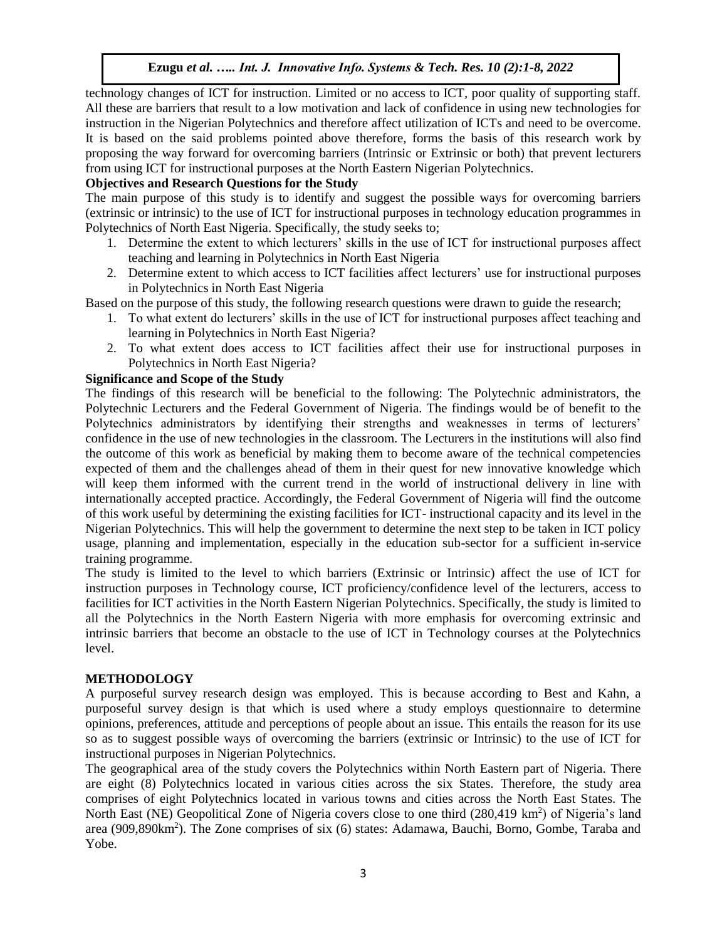technology changes of ICT for instruction. Limited or no access to ICT, poor quality of supporting staff. All these are barriers that result to a low motivation and lack of confidence in using new technologies for instruction in the Nigerian Polytechnics and therefore affect utilization of ICTs and need to be overcome. It is based on the said problems pointed above therefore, forms the basis of this research work by proposing the way forward for overcoming barriers (Intrinsic or Extrinsic or both) that prevent lecturers from using ICT for instructional purposes at the North Eastern Nigerian Polytechnics.

## **Objectives and Research Questions for the Study**

The main purpose of this study is to identify and suggest the possible ways for overcoming barriers (extrinsic or intrinsic) to the use of ICT for instructional purposes in technology education programmes in Polytechnics of North East Nigeria. Specifically, the study seeks to;

- 1. Determine the extent to which lecturers' skills in the use of ICT for instructional purposes affect teaching and learning in Polytechnics in North East Nigeria
- 2. Determine extent to which access to ICT facilities affect lecturers' use for instructional purposes in Polytechnics in North East Nigeria

Based on the purpose of this study, the following research questions were drawn to guide the research;

- 1. To what extent do lecturers' skills in the use of ICT for instructional purposes affect teaching and learning in Polytechnics in North East Nigeria?
- 2. To what extent does access to ICT facilities affect their use for instructional purposes in Polytechnics in North East Nigeria?

## **Significance and Scope of the Study**

The findings of this research will be beneficial to the following: The Polytechnic administrators, the Polytechnic Lecturers and the Federal Government of Nigeria. The findings would be of benefit to the Polytechnics administrators by identifying their strengths and weaknesses in terms of lecturers' confidence in the use of new technologies in the classroom. The Lecturers in the institutions will also find the outcome of this work as beneficial by making them to become aware of the technical competencies expected of them and the challenges ahead of them in their quest for new innovative knowledge which will keep them informed with the current trend in the world of instructional delivery in line with internationally accepted practice. Accordingly, the Federal Government of Nigeria will find the outcome of this work useful by determining the existing facilities for ICT- instructional capacity and its level in the Nigerian Polytechnics. This will help the government to determine the next step to be taken in ICT policy usage, planning and implementation, especially in the education sub-sector for a sufficient in-service training programme.

The study is limited to the level to which barriers (Extrinsic or Intrinsic) affect the use of ICT for instruction purposes in Technology course, ICT proficiency/confidence level of the lecturers, access to facilities for ICT activities in the North Eastern Nigerian Polytechnics. Specifically, the study is limited to all the Polytechnics in the North Eastern Nigeria with more emphasis for overcoming extrinsic and intrinsic barriers that become an obstacle to the use of ICT in Technology courses at the Polytechnics level.

## **METHODOLOGY**

A purposeful survey research design was employed. This is because according to Best and Kahn, a purposeful survey design is that which is used where a study employs questionnaire to determine opinions, preferences, attitude and perceptions of people about an issue. This entails the reason for its use so as to suggest possible ways of overcoming the barriers (extrinsic or Intrinsic) to the use of ICT for instructional purposes in Nigerian Polytechnics.

The geographical area of the study covers the Polytechnics within North Eastern part of Nigeria. There are eight (8) Polytechnics located in various cities across the six States. Therefore, the study area comprises of eight Polytechnics located in various towns and cities across the North East States. The North East (NE) Geopolitical Zone of Nigeria covers close to one third (280,419 km<sup>2</sup>) of Nigeria's land area (909,890km<sup>2</sup>). The Zone comprises of six (6) states: Adamawa, Bauchi, Borno, Gombe, Taraba and Yobe.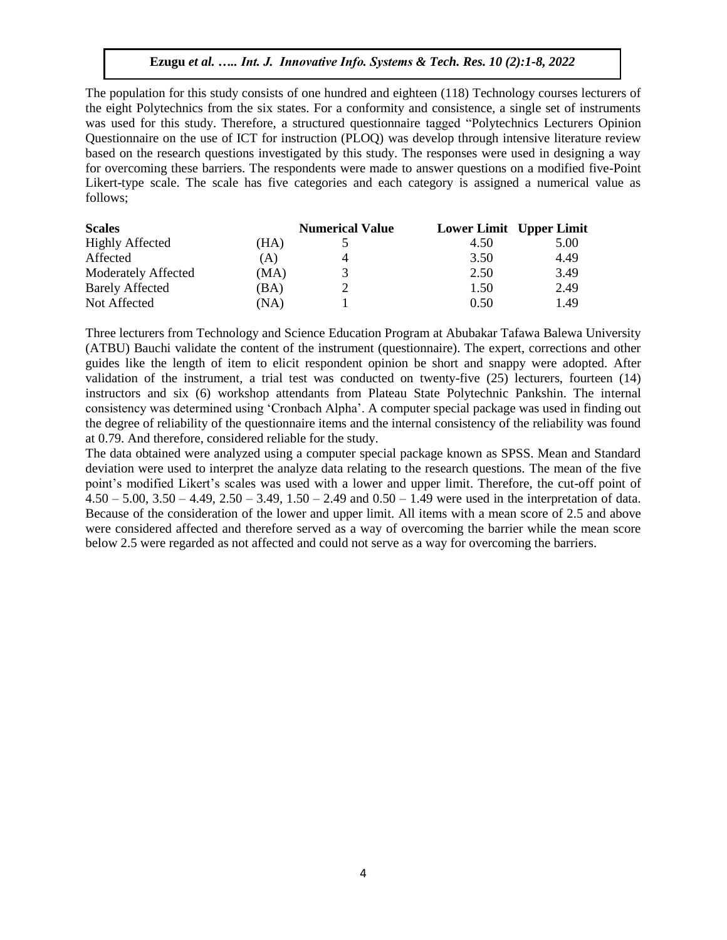The population for this study consists of one hundred and eighteen (118) Technology courses lecturers of the eight Polytechnics from the six states. For a conformity and consistence, a single set of instruments was used for this study. Therefore, a structured questionnaire tagged "Polytechnics Lecturers Opinion Questionnaire on the use of ICT for instruction (PLOQ) was develop through intensive literature review based on the research questions investigated by this study. The responses were used in designing a way for overcoming these barriers. The respondents were made to answer questions on a modified five-Point Likert-type scale. The scale has five categories and each category is assigned a numerical value as follows;

| <b>Scales</b>          |      | <b>Numerical Value</b> | <b>Lower Limit</b> Upper Limit |      |
|------------------------|------|------------------------|--------------------------------|------|
| <b>Highly Affected</b> | (HA) |                        | 4.50                           | 5.00 |
| Affected               | (A)  | 4                      | 3.50                           | 4.49 |
| Moderately Affected    | (MA) |                        | 2.50                           | 3.49 |
| <b>Barely Affected</b> | (BA) |                        | 1.50                           | 2.49 |
| Not Affected           | (NA) |                        | 0.50                           | 1.49 |

Three lecturers from Technology and Science Education Program at Abubakar Tafawa Balewa University (ATBU) Bauchi validate the content of the instrument (questionnaire). The expert, corrections and other guides like the length of item to elicit respondent opinion be short and snappy were adopted. After validation of the instrument, a trial test was conducted on twenty-five (25) lecturers, fourteen (14) instructors and six (6) workshop attendants from Plateau State Polytechnic Pankshin. The internal consistency was determined using 'Cronbach Alpha'. A computer special package was used in finding out the degree of reliability of the questionnaire items and the internal consistency of the reliability was found at 0.79. And therefore, considered reliable for the study.

The data obtained were analyzed using a computer special package known as SPSS. Mean and Standard deviation were used to interpret the analyze data relating to the research questions. The mean of the five point's modified Likert's scales was used with a lower and upper limit. Therefore, the cut-off point of  $4.50 - 5.00$ ,  $3.50 - 4.49$ ,  $2.50 - 3.49$ ,  $1.50 - 2.49$  and  $0.50 - 1.49$  were used in the interpretation of data. Because of the consideration of the lower and upper limit. All items with a mean score of 2.5 and above were considered affected and therefore served as a way of overcoming the barrier while the mean score below 2.5 were regarded as not affected and could not serve as a way for overcoming the barriers.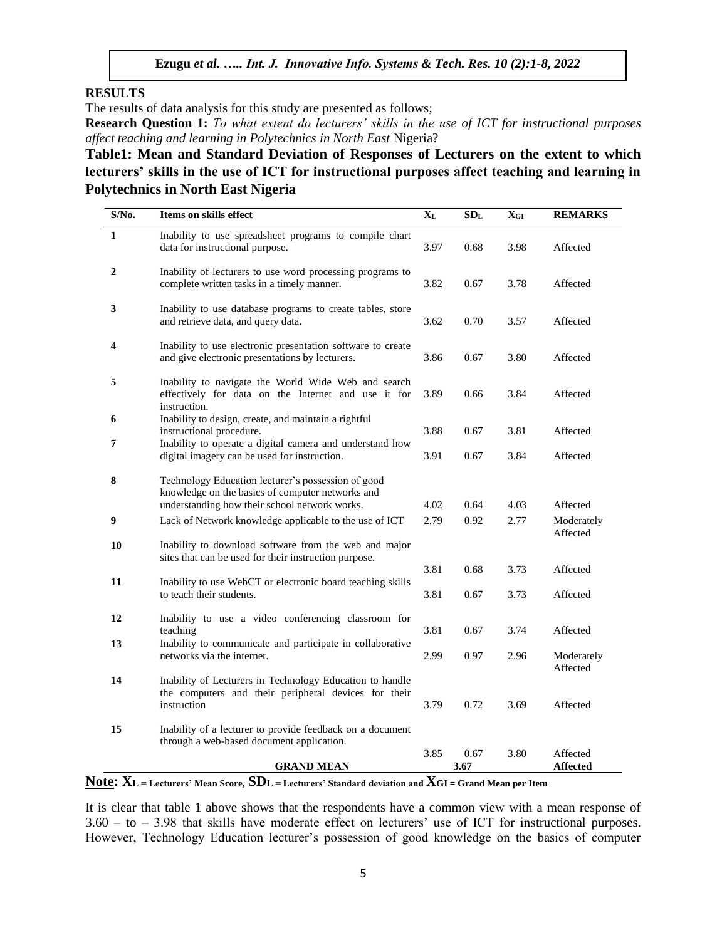#### **RESULTS**

The results of data analysis for this study are presented as follows;

**Research Question 1:** *To what extent do lecturers' skills in the use of ICT for instructional purposes affect teaching and learning in Polytechnics in North East* Nigeria?

**Table1: Mean and Standard Deviation of Responses of Lecturers on the extent to which lecturers' skills in the use of ICT for instructional purposes affect teaching and learning in Polytechnics in North East Nigeria**

| S/No.        | Items on skills effect                                                                                                                       | $X_{L}$ | SD <sub>L</sub> | $X_{GI}$ | <b>REMARKS</b>              |
|--------------|----------------------------------------------------------------------------------------------------------------------------------------------|---------|-----------------|----------|-----------------------------|
| $\mathbf{1}$ | Inability to use spreadsheet programs to compile chart<br>data for instructional purpose.                                                    |         | 0.68            | 3.98     | Affected                    |
| 2            | Inability of lecturers to use word processing programs to<br>complete written tasks in a timely manner.                                      |         | 0.67            | 3.78     | Affected                    |
| 3            | Inability to use database programs to create tables, store<br>and retrieve data, and query data.                                             | 3.62    | 0.70            | 3.57     | Affected                    |
| 4            | Inability to use electronic presentation software to create<br>and give electronic presentations by lecturers.                               | 3.86    | 0.67            | 3.80     | Affected                    |
| 5            | Inability to navigate the World Wide Web and search<br>effectively for data on the Internet and use it for<br>instruction.                   | 3.89    | 0.66            | 3.84     | Affected                    |
| 6<br>7       | Inability to design, create, and maintain a rightful<br>instructional procedure.<br>Inability to operate a digital camera and understand how | 3.88    | 0.67            | 3.81     | Affected                    |
|              | digital imagery can be used for instruction.                                                                                                 | 3.91    | 0.67            | 3.84     | Affected                    |
| 8            | Technology Education lecturer's possession of good<br>knowledge on the basics of computer networks and                                       |         |                 |          |                             |
|              | understanding how their school network works.                                                                                                | 4.02    | 0.64            | 4.03     | Affected                    |
| 9            | Lack of Network knowledge applicable to the use of ICT                                                                                       | 2.79    | 0.92            | 2.77     | Moderately<br>Affected      |
| 10           | Inability to download software from the web and major<br>sites that can be used for their instruction purpose.                               |         |                 |          |                             |
| 11           | Inability to use WebCT or electronic board teaching skills                                                                                   | 3.81    | 0.68            | 3.73     | Affected                    |
|              | to teach their students.                                                                                                                     | 3.81    | 0.67            | 3.73     | Affected                    |
| 12           | Inability to use a video conferencing classroom for                                                                                          |         |                 |          |                             |
| 13           | teaching<br>Inability to communicate and participate in collaborative                                                                        | 3.81    | 0.67            | 3.74     | Affected                    |
|              | networks via the internet.                                                                                                                   | 2.99    | 0.97            | 2.96     | Moderately<br>Affected      |
| 14           | Inability of Lecturers in Technology Education to handle<br>the computers and their peripheral devices for their<br>instruction              | 3.79    | 0.72            | 3.69     | Affected                    |
| 15           | Inability of a lecturer to provide feedback on a document<br>through a web-based document application.                                       |         |                 |          |                             |
|              | <b>GRAND MEAN</b>                                                                                                                            | 3.85    | 0.67<br>3.67    | 3.80     | Affected<br><b>Affected</b> |
|              |                                                                                                                                              |         |                 |          |                             |

**Note: XL = Lecturers' Mean Score, SDL = Lecturers' Standard deviation and XGI = Grand Mean per Item** 

It is clear that table 1 above shows that the respondents have a common view with a mean response of 3.60 – to – 3.98 that skills have moderate effect on lecturers' use of ICT for instructional purposes. However, Technology Education lecturer's possession of good knowledge on the basics of computer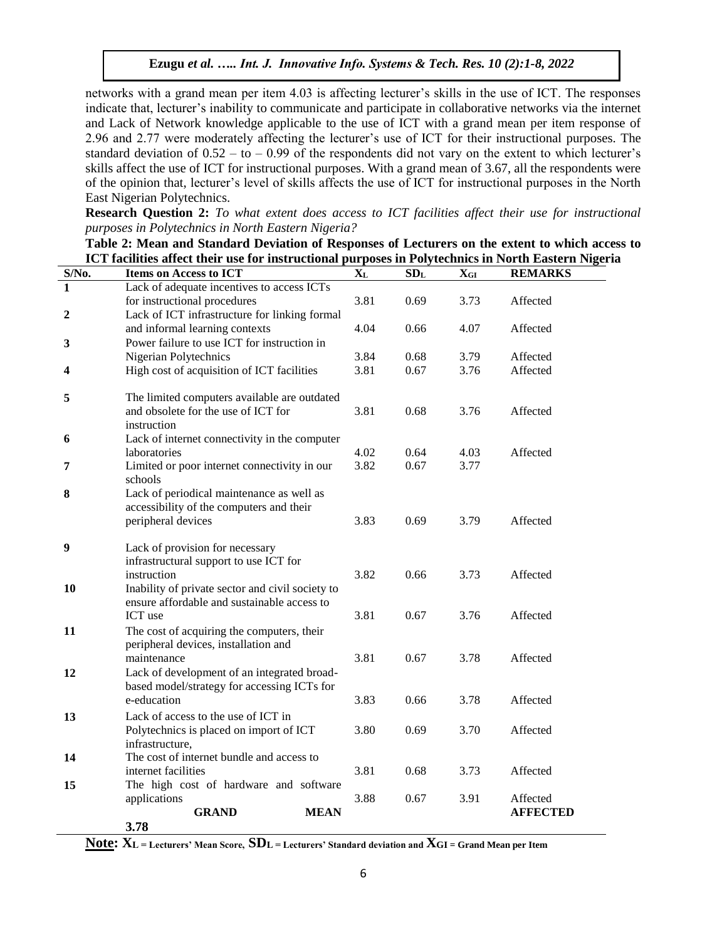networks with a grand mean per item 4.03 is affecting lecturer's skills in the use of ICT. The responses indicate that, lecturer's inability to communicate and participate in collaborative networks via the internet and Lack of Network knowledge applicable to the use of ICT with a grand mean per item response of 2.96 and 2.77 were moderately affecting the lecturer's use of ICT for their instructional purposes. The standard deviation of  $0.52 - t_0 - 0.99$  of the respondents did not vary on the extent to which lecturer's skills affect the use of ICT for instructional purposes. With a grand mean of 3.67, all the respondents were of the opinion that, lecturer's level of skills affects the use of ICT for instructional purposes in the North East Nigerian Polytechnics.

**Research Question 2:** *To what extent does access to ICT facilities affect their use for instructional purposes in Polytechnics in North Eastern Nigeria?*

|                  | TC I Tachities affect their use for instructional purposes in Polytechnics in North Eastern Ni |         |                 |                          |                 |
|------------------|------------------------------------------------------------------------------------------------|---------|-----------------|--------------------------|-----------------|
| $S/N0$ .         | <b>Items on Access to ICT</b>                                                                  | $X_{L}$ | SD <sub>L</sub> | $\mathbf{X}_{\text{GI}}$ | <b>REMARKS</b>  |
| 1                | Lack of adequate incentives to access ICTs                                                     |         |                 |                          |                 |
|                  | for instructional procedures                                                                   | 3.81    | 0.69            | 3.73                     | Affected        |
| 2                | Lack of ICT infrastructure for linking formal                                                  |         |                 |                          |                 |
|                  | and informal learning contexts                                                                 | 4.04    | 0.66            | 4.07                     | Affected        |
| 3                | Power failure to use ICT for instruction in                                                    |         |                 |                          |                 |
|                  | Nigerian Polytechnics                                                                          | 3.84    | 0.68            | 3.79                     | Affected        |
| 4                | High cost of acquisition of ICT facilities                                                     | 3.81    | 0.67            | 3.76                     | Affected        |
| 5                | The limited computers available are outdated                                                   |         |                 |                          |                 |
|                  | and obsolete for the use of ICT for                                                            | 3.81    | 0.68            | 3.76                     | Affected        |
|                  | instruction                                                                                    |         |                 |                          |                 |
| 6                | Lack of internet connectivity in the computer                                                  |         |                 |                          |                 |
|                  | laboratories                                                                                   | 4.02    | 0.64            | 4.03                     | Affected        |
| 7                | Limited or poor internet connectivity in our                                                   | 3.82    | 0.67            | 3.77                     |                 |
|                  | schools                                                                                        |         |                 |                          |                 |
| 8                | Lack of periodical maintenance as well as                                                      |         |                 |                          |                 |
|                  | accessibility of the computers and their                                                       |         |                 |                          |                 |
|                  | peripheral devices                                                                             | 3.83    | 0.69            | 3.79                     | Affected        |
|                  |                                                                                                |         |                 |                          |                 |
| $\boldsymbol{9}$ | Lack of provision for necessary                                                                |         |                 |                          |                 |
|                  | infrastructural support to use ICT for                                                         |         |                 |                          |                 |
|                  | instruction                                                                                    | 3.82    | 0.66            | 3.73                     | Affected        |
| 10               | Inability of private sector and civil society to                                               |         |                 |                          |                 |
|                  | ensure affordable and sustainable access to                                                    |         |                 |                          |                 |
|                  | ICT use                                                                                        | 3.81    | 0.67            | 3.76                     | Affected        |
| 11               | The cost of acquiring the computers, their                                                     |         |                 |                          |                 |
|                  | peripheral devices, installation and                                                           |         |                 |                          |                 |
|                  | maintenance                                                                                    | 3.81    | 0.67            | 3.78                     | Affected        |
| 12               | Lack of development of an integrated broad-<br>based model/strategy for accessing ICTs for     |         |                 |                          |                 |
|                  | e-education                                                                                    | 3.83    | 0.66            | 3.78                     | Affected        |
|                  |                                                                                                |         |                 |                          |                 |
| 13               | Lack of access to the use of ICT in                                                            |         |                 |                          |                 |
|                  | Polytechnics is placed on import of ICT<br>infrastructure,                                     | 3.80    | 0.69            | 3.70                     | Affected        |
| 14               | The cost of internet bundle and access to                                                      |         |                 |                          |                 |
|                  | internet facilities                                                                            | 3.81    | 0.68            | 3.73                     | Affected        |
| 15               | The high cost of hardware and software                                                         |         |                 |                          |                 |
|                  | applications                                                                                   | 3.88    | 0.67            | 3.91                     | Affected        |
|                  | <b>GRAND</b><br><b>MEAN</b>                                                                    |         |                 |                          | <b>AFFECTED</b> |
|                  | 3.78                                                                                           |         |                 |                          |                 |
|                  |                                                                                                |         |                 |                          |                 |

**Table 2: Mean and Standard Deviation of Responses of Lecturers on the extent to which access to ICT facilities affect their use for instructional purposes in Polytechnics in North Eastern Nigeria**

**Note: XL = Lecturers' Mean Score, SDL = Lecturers' Standard deviation and XGI = Grand Mean per Item**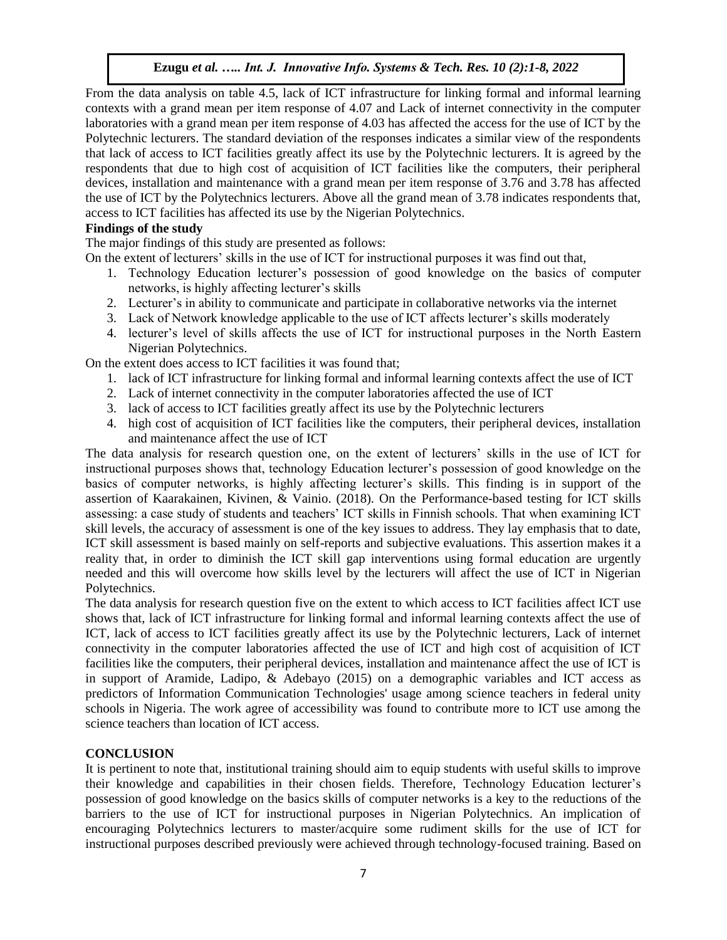From the data analysis on table 4.5, lack of ICT infrastructure for linking formal and informal learning contexts with a grand mean per item response of 4.07 and Lack of internet connectivity in the computer laboratories with a grand mean per item response of 4.03 has affected the access for the use of ICT by the Polytechnic lecturers. The standard deviation of the responses indicates a similar view of the respondents that lack of access to ICT facilities greatly affect its use by the Polytechnic lecturers. It is agreed by the respondents that due to high cost of acquisition of ICT facilities like the computers, their peripheral devices, installation and maintenance with a grand mean per item response of 3.76 and 3.78 has affected the use of ICT by the Polytechnics lecturers. Above all the grand mean of 3.78 indicates respondents that, access to ICT facilities has affected its use by the Nigerian Polytechnics.

## **Findings of the study**

The major findings of this study are presented as follows:

On the extent of lecturers' skills in the use of ICT for instructional purposes it was find out that,

- 1. Technology Education lecturer's possession of good knowledge on the basics of computer networks, is highly affecting lecturer's skills
- 2. Lecturer's in ability to communicate and participate in collaborative networks via the internet
- 3. Lack of Network knowledge applicable to the use of ICT affects lecturer's skills moderately
- 4. lecturer's level of skills affects the use of ICT for instructional purposes in the North Eastern Nigerian Polytechnics.

On the extent does access to ICT facilities it was found that;

- 1. lack of ICT infrastructure for linking formal and informal learning contexts affect the use of ICT
- 2. Lack of internet connectivity in the computer laboratories affected the use of ICT
- 3. lack of access to ICT facilities greatly affect its use by the Polytechnic lecturers
- 4. high cost of acquisition of ICT facilities like the computers, their peripheral devices, installation and maintenance affect the use of ICT

The data analysis for research question one, on the extent of lecturers' skills in the use of ICT for instructional purposes shows that, technology Education lecturer's possession of good knowledge on the basics of computer networks, is highly affecting lecturer's skills. This finding is in support of the assertion of Kaarakainen, Kivinen, & Vainio. (2018). On the Performance-based testing for ICT skills assessing: a case study of students and teachers' ICT skills in Finnish schools. That when examining ICT skill levels, the accuracy of assessment is one of the key issues to address. They lay emphasis that to date, ICT skill assessment is based mainly on self-reports and subjective evaluations. This assertion makes it a reality that, in order to diminish the ICT skill gap interventions using formal education are urgently needed and this will overcome how skills level by the lecturers will affect the use of ICT in Nigerian Polytechnics.

The data analysis for research question five on the extent to which access to ICT facilities affect ICT use shows that, lack of ICT infrastructure for linking formal and informal learning contexts affect the use of ICT, lack of access to ICT facilities greatly affect its use by the Polytechnic lecturers, Lack of internet connectivity in the computer laboratories affected the use of ICT and high cost of acquisition of ICT facilities like the computers, their peripheral devices, installation and maintenance affect the use of ICT is in support of Aramide, Ladipo, & Adebayo (2015) on a demographic variables and ICT access as predictors of Information Communication Technologies' usage among science teachers in federal unity schools in Nigeria. The work agree of accessibility was found to contribute more to ICT use among the science teachers than location of ICT access.

# **CONCLUSION**

It is pertinent to note that, institutional training should aim to equip students with useful skills to improve their knowledge and capabilities in their chosen fields. Therefore, Technology Education lecturer's possession of good knowledge on the basics skills of computer networks is a key to the reductions of the barriers to the use of ICT for instructional purposes in Nigerian Polytechnics. An implication of encouraging Polytechnics lecturers to master/acquire some rudiment skills for the use of ICT for instructional purposes described previously were achieved through technology-focused training. Based on